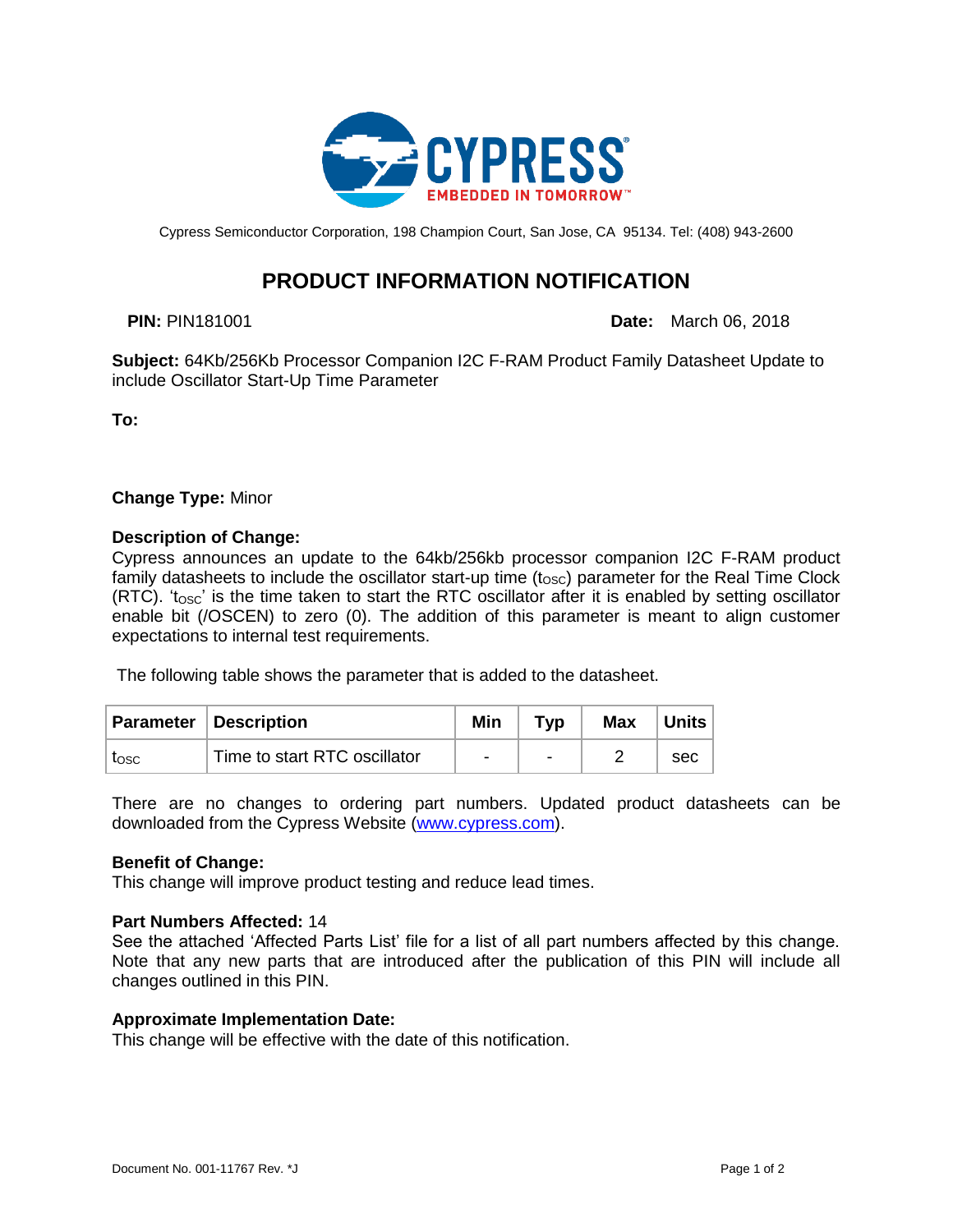

Cypress Semiconductor Corporation, 198 Champion Court, San Jose, CA 95134. Tel: (408) 943-2600

# **PRODUCT INFORMATION NOTIFICATION**

**PIN:** PIN181001 **Date:** March 06, 2018

**Subject:** 64Kb/256Kb Processor Companion I2C F-RAM Product Family Datasheet Update to include Oscillator Start-Up Time Parameter

**To:**

**Change Type:** Minor

### **Description of Change:**

Cypress announces an update to the 64kb/256kb processor companion I2C F-RAM product family datasheets to include the oscillator start-up time  $(t_{\text{osc}})$  parameter for the Real Time Clock  $(RTC)$ . ' $t<sub>osc</sub>$ ' is the time taken to start the RTC oscillator after it is enabled by setting oscillator enable bit (/OSCEN) to zero (0). The addition of this parameter is meant to align customer expectations to internal test requirements.

The following table shows the parameter that is added to the datasheet.

|      | <b>Parameter Description</b> | Min | Typ                      | <b>Max</b> | <b>Units</b> |
|------|------------------------------|-----|--------------------------|------------|--------------|
| tosc | Time to start RTC oscillator | -   | $\overline{\phantom{0}}$ |            | sec          |

There are no changes to ordering part numbers. Updated product datasheets can be downloaded from the Cypress Website [\(www.cypress.com\)](http://www.cypress.com/).

### **Benefit of Change:**

This change will improve product testing and reduce lead times.

### **Part Numbers Affected:** 14

See the attached 'Affected Parts List' file for a list of all part numbers affected by this change. Note that any new parts that are introduced after the publication of this PIN will include all changes outlined in this PIN.

### **Approximate Implementation Date:**

This change will be effective with the date of this notification.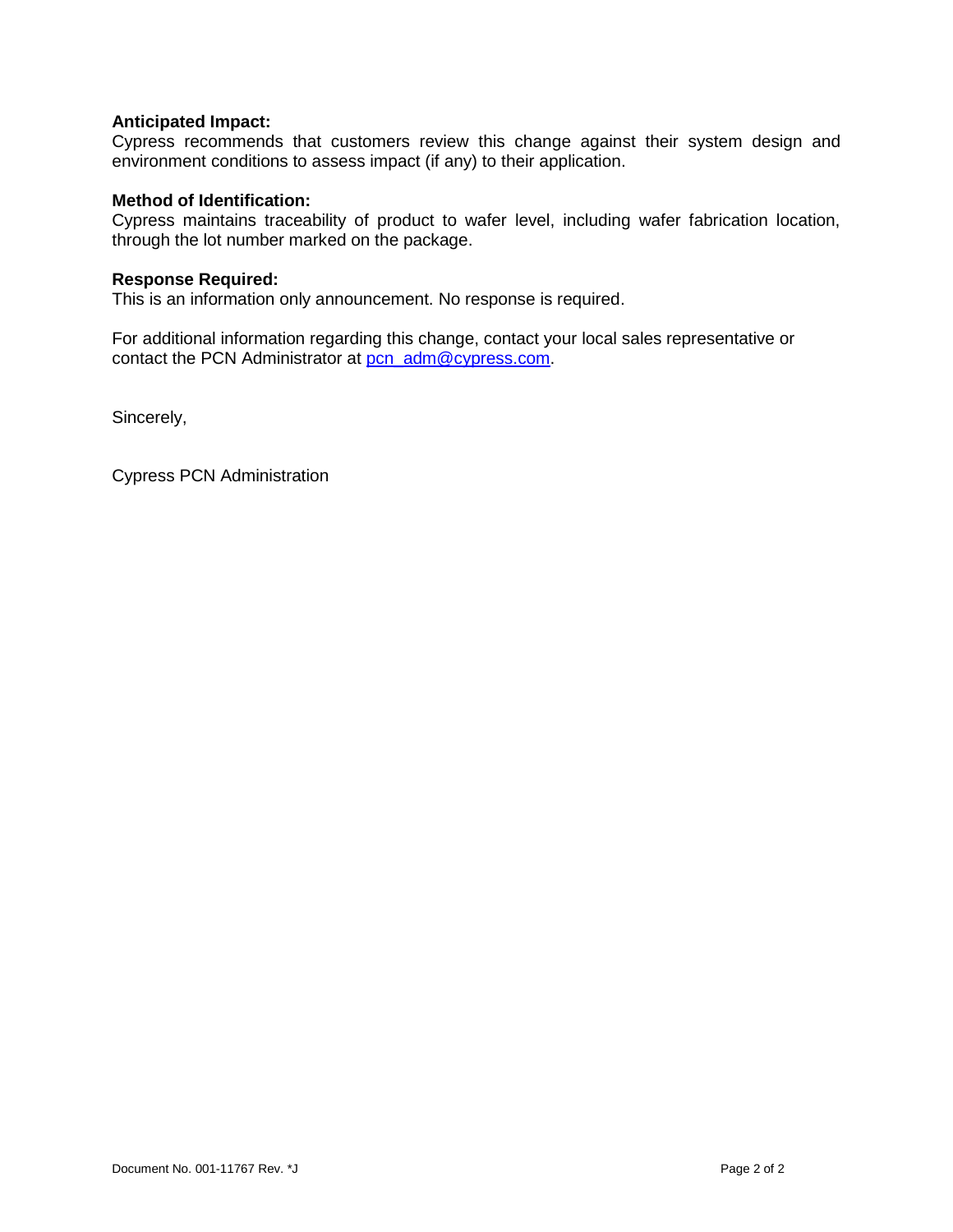## **Anticipated Impact:**

Cypress recommends that customers review this change against their system design and environment conditions to assess impact (if any) to their application.

## **Method of Identification:**

Cypress maintains traceability of product to wafer level, including wafer fabrication location, through the lot number marked on the package.

#### **Response Required:**

This is an information only announcement. No response is required.

For additional information regarding this change, contact your local sales representative or contact the PCN Administrator at [pcn\\_adm@cypress.com.](mailto:pcn_adm@cypress.com)

Sincerely,

Cypress PCN Administration